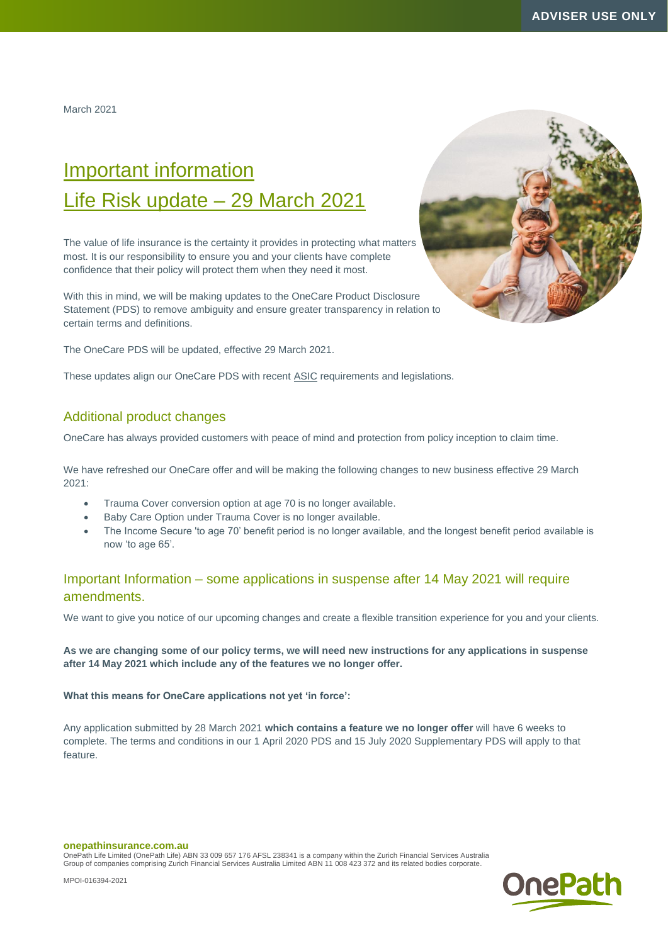March 2021

# Important information Life Risk update – 29 March 2021

The value of life insurance is the certainty it provides in protecting what matters most. It is our responsibility to ensure you and your clients have complete confidence that their policy will protect them when they need it most.

With this in mind, we will be making updates to the OneCare Product Disclosure Statement (PDS) to remove ambiguity and ensure greater transparency in relation to certain terms and definitions.

The OneCare PDS will be updated, effective 29 March 2021.

These updates align our OneCare PDS with recent [ASIC](https://asic.gov.au/about-asic/news-centre/find-a-media-release/2020-releases/20-248mr-asic-updates-information-sheets-on-new-protections-under-the-unfair-contract-terms-laws/?mkt_tok=MDYxLVFJRC01NjcAAAF7rrRwx1ohrjDvuX7bwdZA7J4vVuMTw8fjljobvW0stesXESJ7u7Q4fqIwxrH2cUvGBln9HVbyUrb782zmDGIG7cHEwMk) requirements and legislations.

#### Additional product changes

OneCare has always provided customers with peace of mind and protection from policy inception to claim time.

We have refreshed our OneCare offer and will be making the following changes to new business effective 29 March 2021:

- Trauma Cover conversion option at age 70 is no longer available.
- Baby Care Option under Trauma Cover is no longer available.
- The Income Secure 'to age 70' benefit period is no longer available, and the longest benefit period available is now 'to age 65'.

### Important Information – some applications in suspense after 14 May 2021 will require amendments.

We want to give you notice of our upcoming changes and create a flexible transition experience for you and your clients.

**As we are changing some of our policy terms, we will need new instructions for any applications in suspense after 14 May 2021 which include any of the features we no longer offer.**

#### **What this means for OneCare applications not yet 'in force':**

Any application submitted by 28 March 2021 **which contains a feature we no longer offer** will have 6 weeks to complete. The terms and conditions in our 1 April 2020 PDS and 15 July 2020 Supplementary PDS will apply to that feature.

**onepathinsurance.com.au**

OnePath Life Limited (OnePath Life) ABN 33 009 657 176 AFSL 238341 is a company within the Zurich Financial Services Australia Group of companies comprising Zurich Financial Services Australia Limited ABN 11 008 423 372 and its related bodies corporate.



hePath